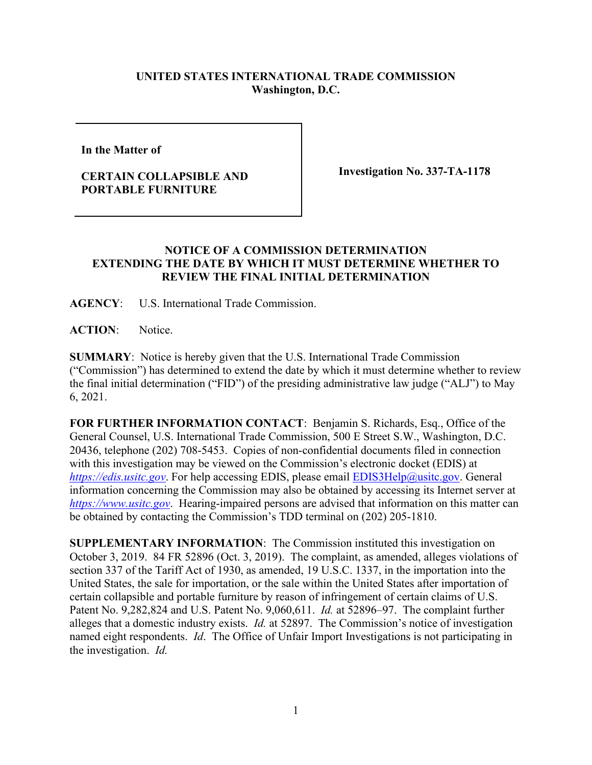## **UNITED STATES INTERNATIONAL TRADE COMMISSION Washington, D.C.**

**In the Matter of** 

## **CERTAIN COLLAPSIBLE AND PORTABLE FURNITURE**

**Investigation No. 337-TA-1178**

## **NOTICE OF A COMMISSION DETERMINATION EXTENDING THE DATE BY WHICH IT MUST DETERMINE WHETHER TO REVIEW THE FINAL INITIAL DETERMINATION**

**AGENCY**: U.S. International Trade Commission.

**ACTION**: Notice.

**SUMMARY**: Notice is hereby given that the U.S. International Trade Commission ("Commission") has determined to extend the date by which it must determine whether to review the final initial determination ("FID") of the presiding administrative law judge ("ALJ") to May 6, 2021.

**FOR FURTHER INFORMATION CONTACT**: Benjamin S. Richards, Esq., Office of the General Counsel, U.S. International Trade Commission, 500 E Street S.W., Washington, D.C. 20436, telephone (202) 708-5453. Copies of non-confidential documents filed in connection with this investigation may be viewed on the Commission's electronic docket (EDIS) at *[https://edis.usitc.gov](https://edis.usitc.gov/).* For help accessing EDIS, please email [EDIS3Help@usitc.gov.](mailto:EDIS3Help@usitc.gov) General information concerning the Commission may also be obtained by accessing its Internet server at *[https://www.usitc.gov](https://www.usitc.gov/)*. Hearing-impaired persons are advised that information on this matter can be obtained by contacting the Commission's TDD terminal on (202) 205-1810.

**SUPPLEMENTARY INFORMATION**: The Commission instituted this investigation on October 3, 2019. 84 FR 52896 (Oct. 3, 2019). The complaint, as amended, alleges violations of section 337 of the Tariff Act of 1930, as amended, 19 U.S.C. 1337, in the importation into the United States, the sale for importation, or the sale within the United States after importation of certain collapsible and portable furniture by reason of infringement of certain claims of U.S. Patent No. 9,282,824 and U.S. Patent No. 9,060,611. *Id.* at 52896–97. The complaint further alleges that a domestic industry exists. *Id.* at 52897. The Commission's notice of investigation named eight respondents. *Id*. The Office of Unfair Import Investigations is not participating in the investigation. *Id.*